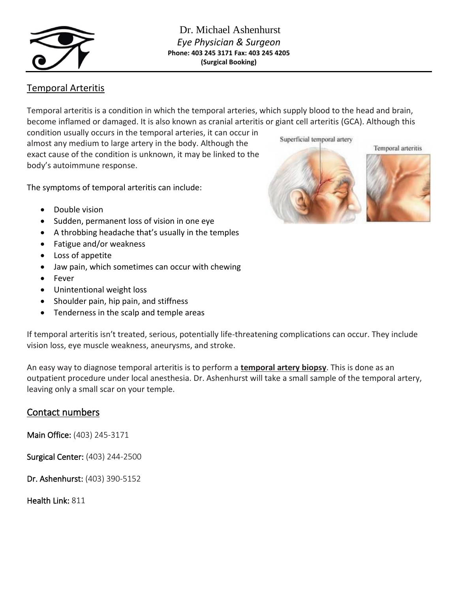

## Temporal Arteritis

Temporal arteritis is a condition in which the temporal arteries, which supply blood to the head and brain, become inflamed or damaged. It is also known as cranial arteritis or giant cell arteritis (GCA). Although this

condition usually occurs in the temporal arteries, it can occur in almost any medium to large artery in the body. Although the exact cause of the condition is unknown, it may be linked to the body's autoimmune response.

The symptoms of temporal arteritis can include:

- Double vision
- Sudden, permanent loss of vision in one eye
- A throbbing headache that's usually in the temples
- Fatigue and/or weakness
- Loss of appetite
- Jaw pain, which sometimes can occur with chewing
- Fever
- Unintentional weight loss
- Shoulder pain, hip pain, and stiffness
- Tenderness in the scalp and temple areas

If temporal arteritis isn't treated, serious, potentially life-threatening complications can occur. They include vision loss, eye muscle weakness, aneurysms, and stroke.

An easy way to diagnose temporal arteritis is to perform a **temporal artery biopsy**. This is done as an outpatient procedure under local anesthesia. Dr. Ashenhurst will take a small sample of the temporal artery, leaving only a small scar on your temple.

## Contact numbers

Main Office: (403) 245-3171

Surgical Center: (403) 244-2500

Dr. Ashenhurst: (403) 390-5152

Health Link: 811

Superficial temporal artery

Temporal arteritis

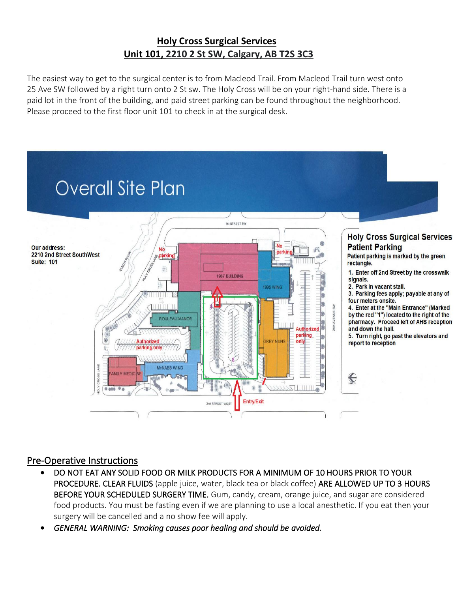# **Holy Cross Surgical Services Unit 101, 2210 2 St SW, Calgary, AB T2S 3C3**

The easiest way to get to the surgical center is to from Macleod Trail. From Macleod Trail turn west onto 25 Ave SW followed by a right turn onto 2 St sw. The Holy Cross will be on your right-hand side. There is a paid lot in the front of the building, and paid street parking can be found throughout the neighborhood. Please proceed to the first floor unit 101 to check in at the surgical desk.



## Pre-Operative Instructions

- DO NOT EAT ANY SOLID FOOD OR MILK PRODUCTS FOR A MINIMUM OF 10 HOURS PRIOR TO YOUR PROCEDURE. CLEAR FLUIDS (apple juice, water, black tea or black coffee) ARE ALLOWED UP TO 3 HOURS BEFORE YOUR SCHEDULED SURGERY TIME. Gum, candy, cream, orange juice, and sugar are considered food products. You must be fasting even if we are planning to use a local anesthetic. If you eat then your surgery will be cancelled and a no show fee will apply.
- *GENERAL WARNING: Smoking causes poor healing and should be avoided.*